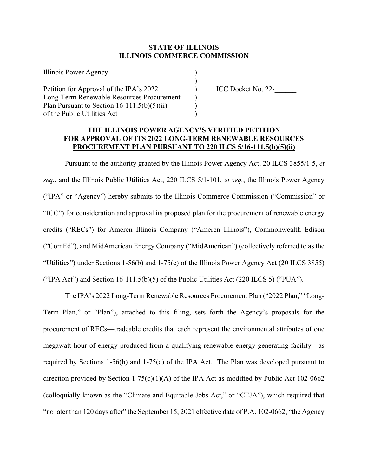## **STATE OF ILLINOIS ILLINOIS COMMERCE COMMISSION**

| Illinois Power Agency                         |  |
|-----------------------------------------------|--|
|                                               |  |
| Petition for Approval of the IPA's 2022       |  |
| Long-Term Renewable Resources Procurement     |  |
| Plan Pursuant to Section $16-111.5(b)(5)(ii)$ |  |
| of the Public Utilities Act                   |  |

ICC Docket No. 22-

## **THE ILLINOIS POWER AGENCY'S VERIFIED PETITION FOR APPROVAL OF ITS 2022 LONG-TERM RENEWABLE RESOURCES PROCUREMENT PLAN PURSUANT TO 220 ILCS 5/16-111.5(b)(5)(ii)**

Pursuant to the authority granted by the Illinois Power Agency Act, 20 ILCS 3855/1-5, *et seq.*, and the Illinois Public Utilities Act, 220 ILCS 5/1-101, *et seq.*, the Illinois Power Agency ("IPA" or "Agency") hereby submits to the Illinois Commerce Commission ("Commission" or "ICC") for consideration and approval its proposed plan for the procurement of renewable energy credits ("RECs") for Ameren Illinois Company ("Ameren Illinois"), Commonwealth Edison ("ComEd"), and MidAmerican Energy Company ("MidAmerican") (collectively referred to as the "Utilities") under Sections 1-56(b) and 1-75(c) of the Illinois Power Agency Act (20 ILCS 3855) ("IPA Act") and Section  $16-111.5(b)(5)$  of the Public Utilities Act (220 ILCS 5) ("PUA").

The IPA's 2022 Long-Term Renewable Resources Procurement Plan ("2022 Plan," "Long-Term Plan," or "Plan"), attached to this filing, sets forth the Agency's proposals for the procurement of RECs—tradeable credits that each represent the environmental attributes of one megawatt hour of energy produced from a qualifying renewable energy generating facility—as required by Sections 1-56(b) and 1-75(c) of the IPA Act. The Plan was developed pursuant to direction provided by Section 1-75(c)(1)(A) of the IPA Act as modified by Public Act 102-0662 (colloquially known as the "Climate and Equitable Jobs Act," or "CEJA"), which required that "no later than 120 days after" the September 15, 2021 effective date of P.A. 102-0662, "the Agency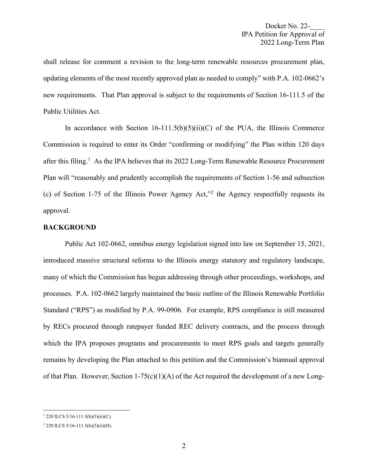shall release for comment a revision to the long-term renewable resources procurement plan, updating elements of the most recently approved plan as needed to comply" with P.A. 102-0662's new requirements. That Plan approval is subject to the requirements of Section 16-111.5 of the Public Utilities Act.

In accordance with Section  $16-111.5(b)(5)(ii)(C)$  of the PUA, the Illinois Commerce Commission is required to enter its Order "confirming or modifying" the Plan within 120 days after this filing.<sup>[1](#page-1-0)</sup> As the IPA believes that its 2022 Long-Term Renewable Resource Procurement Plan will "reasonably and prudently accomplish the requirements of Section 1-56 and subsection (c) of Section 1-75 of the Illinois Power Agency Act,"[2](#page-1-1) the Agency respectfully requests its approval.

## **BACKGROUND**

Public Act 102-0662, omnibus energy legislation signed into law on September 15, 2021, introduced massive structural reforms to the Illinois energy statutory and regulatory landscape, many of which the Commission has begun addressing through other proceedings, workshops, and processes. P.A. 102-0662 largely maintained the basic outline of the Illinois Renewable Portfolio Standard ("RPS") as modified by P.A. 99-0906. For example, RPS compliance is still measured by RECs procured through ratepayer funded REC delivery contracts, and the process through which the IPA proposes programs and procurements to meet RPS goals and targets generally remains by developing the Plan attached to this petition and the Commission's biannual approval of that Plan. However, Section 1-75(c)(1)(A) of the Act required the development of a new Long-

<span id="page-1-0"></span> $1220$  ILCS  $5/16-111.5(b)(5)(ii)(C)$ .

<span id="page-1-1"></span><sup>2</sup> 220 ILCS 5/16-111.5(b)(5)(ii)(D).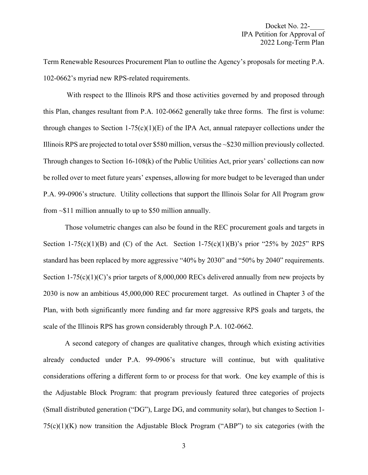Term Renewable Resources Procurement Plan to outline the Agency's proposals for meeting P.A. 102-0662's myriad new RPS-related requirements.

With respect to the Illinois RPS and those activities governed by and proposed through this Plan, changes resultant from P.A. 102-0662 generally take three forms. The first is volume: through changes to Section 1-75(c)(1)(E) of the IPA Act, annual ratepayer collections under the Illinois RPS are projected to total over \$580 million, versus the ~\$230 million previously collected. Through changes to Section 16-108(k) of the Public Utilities Act, prior years' collections can now be rolled over to meet future years' expenses, allowing for more budget to be leveraged than under P.A. 99-0906's structure. Utility collections that support the Illinois Solar for All Program grow from  $\sim$ \$11 million annually to up to \$50 million annually.

Those volumetric changes can also be found in the REC procurement goals and targets in Section 1-75(c)(1)(B) and (C) of the Act. Section 1-75(c)(1)(B)'s prior "25% by 2025" RPS standard has been replaced by more aggressive "40% by 2030" and "50% by 2040" requirements. Section 1-75(c)(1)(C)'s prior targets of 8,000,000 RECs delivered annually from new projects by 2030 is now an ambitious 45,000,000 REC procurement target. As outlined in Chapter 3 of the Plan, with both significantly more funding and far more aggressive RPS goals and targets, the scale of the Illinois RPS has grown considerably through P.A. 102-0662.

A second category of changes are qualitative changes, through which existing activities already conducted under P.A. 99-0906's structure will continue, but with qualitative considerations offering a different form to or process for that work. One key example of this is the Adjustable Block Program: that program previously featured three categories of projects (Small distributed generation ("DG"), Large DG, and community solar), but changes to Section 1-  $75(c)(1)(K)$  now transition the Adjustable Block Program ("ABP") to six categories (with the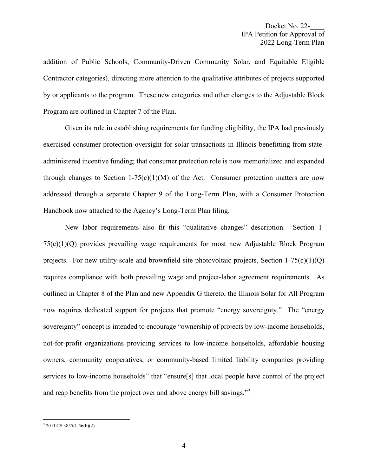addition of Public Schools, Community-Driven Community Solar, and Equitable Eligible Contractor categories), directing more attention to the qualitative attributes of projects supported by or applicants to the program. These new categories and other changes to the Adjustable Block Program are outlined in Chapter 7 of the Plan.

Given its role in establishing requirements for funding eligibility, the IPA had previously exercised consumer protection oversight for solar transactions in Illinois benefitting from stateadministered incentive funding; that consumer protection role is now memorialized and expanded through changes to Section 1-75(c)(1)(M) of the Act. Consumer protection matters are now addressed through a separate Chapter 9 of the Long-Term Plan, with a Consumer Protection Handbook now attached to the Agency's Long-Term Plan filing.

New labor requirements also fit this "qualitative changes" description. Section 1- 75(c)(1)(Q) provides prevailing wage requirements for most new Adjustable Block Program projects. For new utility-scale and brownfield site photovoltaic projects, Section  $1-75(c)(1)(Q)$ requires compliance with both prevailing wage and project-labor agreement requirements. As outlined in Chapter 8 of the Plan and new Appendix G thereto, the Illinois Solar for All Program now requires dedicated support for projects that promote "energy sovereignty." The "energy sovereignty" concept is intended to encourage "ownership of projects by low-income households, not-for-profit organizations providing services to low-income households, affordable housing owners, community cooperatives, or community-based limited liability companies providing services to low-income households" that "ensure[s] that local people have control of the project and reap benefits from the project over and above energy bill savings."<sup>[3](#page-3-0)</sup>

<span id="page-3-0"></span><sup>3</sup> 20 ILCS 3855/1-56(b)(2).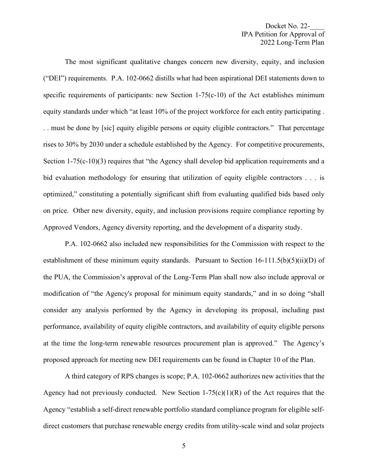The most significant qualitative changes concern new diversity, equity, and inclusion ("DEI") requirements. P.A. 102-0662 distills what had been aspirational DEI statements down to specific requirements of participants: new Section  $1-75(c-10)$  of the Act establishes minimum equity standards under which "at least 10% of the project workforce for each entity participating . . . must be done by [sic] equity eligible persons or equity eligible contractors." That percentage rises to 30% by 2030 under a schedule established by the Agency. For competitive procurements, Section 1-75(c-10)(3) requires that "the Agency shall develop bid application requirements and a bid evaluation methodology for ensuring that utilization of equity eligible contractors . . . is optimized," constituting a potentially significant shift from evaluating qualified bids based only on price. Other new diversity, equity, and inclusion provisions require compliance reporting by Approved Vendors, Agency diversity reporting, and the development of a disparity study.

P.A. 102-0662 also included new responsibilities for the Commission with respect to the establishment of these minimum equity standards. Pursuant to Section 16-111.5(b)(5)(ii)(D) of the PUA, the Commission's approval of the Long-Term Plan shall now also include approval or modification of "the Agency's proposal for minimum equity standards," and in so doing "shall consider any analysis performed by the Agency in developing its proposal, including past performance, availability of equity eligible contractors, and availability of equity eligible persons at the time the long-term renewable resources procurement plan is approved." The Agency's proposed approach for meeting new DEI requirements can be found in Chapter 10 of the Plan.

A third category of RPS changes is scope; P.A. 102-0662 authorizes new activities that the Agency had not previously conducted. New Section  $1-75(c)(1)(R)$  of the Act requires that the Agency "establish a self-direct renewable portfolio standard compliance program for eligible selfdirect customers that purchase renewable energy credits from utility-scale wind and solar projects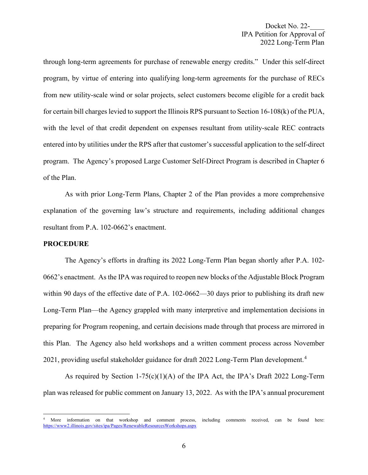through long-term agreements for purchase of renewable energy credits." Under this self-direct program, by virtue of entering into qualifying long-term agreements for the purchase of RECs from new utility-scale wind or solar projects, select customers become eligible for a credit back for certain bill charges levied to support the Illinois RPS pursuant to Section 16-108(k) of the PUA, with the level of that credit dependent on expenses resultant from utility-scale REC contracts entered into by utilities under the RPS after that customer's successful application to the self-direct program. The Agency's proposed Large Customer Self-Direct Program is described in Chapter 6 of the Plan.

As with prior Long-Term Plans, Chapter 2 of the Plan provides a more comprehensive explanation of the governing law's structure and requirements, including additional changes resultant from P.A. 102-0662's enactment.

#### **PROCEDURE**

The Agency's efforts in drafting its 2022 Long-Term Plan began shortly after P.A. 102- 0662's enactment. As the IPA was required to reopen new blocks of the Adjustable Block Program within 90 days of the effective date of P.A. 102-0662—30 days prior to publishing its draft new Long-Term Plan—the Agency grappled with many interpretive and implementation decisions in preparing for Program reopening, and certain decisions made through that process are mirrored in this Plan. The Agency also held workshops and a written comment process across November 2021, providing useful stakeholder guidance for draft 2022 Long-Term Plan development.<sup>[4](#page-5-0)</sup>

As required by Section 1-75(c)(1)(A) of the IPA Act, the IPA's Draft 2022 Long-Term plan was released for public comment on January 13, 2022. As with the IPA's annual procurement

<span id="page-5-0"></span>More information on that workshop and comment process, including comments received, can be found here: <https://www2.illinois.gov/sites/ipa/Pages/RenewableResourcesWorkshops.aspx>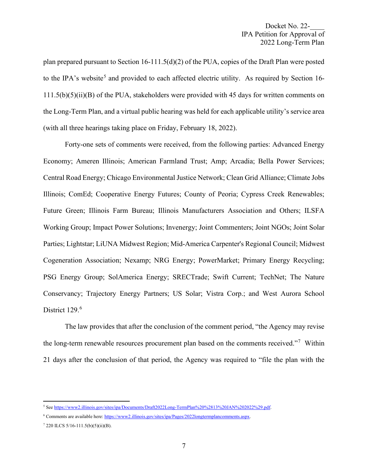plan prepared pursuant to Section  $16-111.5(d)(2)$  of the PUA, copies of the Draft Plan were posted to the IPA's website<sup>[5](#page-6-0)</sup> and provided to each affected electric utility. As required by Section 16- $111.5(b)(5)(ii)(B)$  of the PUA, stakeholders were provided with 45 days for written comments on the Long-Term Plan, and a virtual public hearing was held for each applicable utility's service area (with all three hearings taking place on Friday, February 18, 2022).

Forty-one sets of comments were received, from the following parties: Advanced Energy Economy; Ameren Illinois; American Farmland Trust; Amp; Arcadia; Bella Power Services; Central Road Energy; Chicago Environmental Justice Network; Clean Grid Alliance; Climate Jobs Illinois; ComEd; Cooperative Energy Futures; County of Peoria; Cypress Creek Renewables; Future Green; Illinois Farm Bureau; Illinois Manufacturers Association and Others; ILSFA Working Group; Impact Power Solutions; Invenergy; Joint Commenters; Joint NGOs; Joint Solar Parties; Lightstar; LiUNA Midwest Region; Mid-America Carpenter's Regional Council; Midwest Cogeneration Association; Nexamp; NRG Energy; PowerMarket; Primary Energy Recycling; PSG Energy Group; SolAmerica Energy; SRECTrade; Swift Current; TechNet; The Nature Conservancy; Trajectory Energy Partners; US Solar; Vistra Corp.; and West Aurora School District 129.<sup>[6](#page-6-1)</sup>

The law provides that after the conclusion of the comment period, "the Agency may revise the long-term renewable resources procurement plan based on the comments received."<sup>[7](#page-6-2)</sup> Within 21 days after the conclusion of that period, the Agency was required to "file the plan with the

<span id="page-6-0"></span><sup>5</sup> Se[e https://www2.illinois.gov/sites/ipa/Documents/Draft2022Long-TermPlan%20%2813%20JAN%202022%29.pdf.](https://www2.illinois.gov/sites/ipa/Documents/Draft2022Long-TermPlan%20%2813%20JAN%202022%29.pdf) 

<span id="page-6-1"></span><sup>&</sup>lt;sup>6</sup> Comments are available here: [https://www2.illinois.gov/sites/ipa/Pages/2022longtermplancomments.aspx.](https://www2.illinois.gov/sites/ipa/Pages/2022longtermplancomments.aspx)

<span id="page-6-2"></span><sup>7</sup> 220 ILCS 5/16-111.5(b)(5)(ii)(B).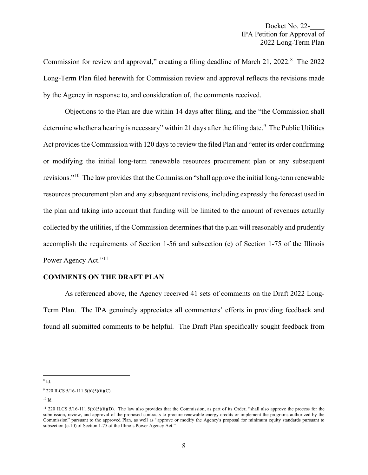Commission for review and approval," creating a filing deadline of March 21, 2022.<sup>[8](#page-7-0)</sup> The 2022 Long-Term Plan filed herewith for Commission review and approval reflects the revisions made by the Agency in response to, and consideration of, the comments received.

Objections to the Plan are due within 14 days after filing, and the "the Commission shall determine whether a hearing is necessary" within 21 days after the filing date.<sup>[9](#page-7-1)</sup> The Public Utilities Act provides the Commission with 120 days to review the filed Plan and "enter its order confirming or modifying the initial long-term renewable resources procurement plan or any subsequent revisions."[10](#page-7-2) The law provides that the Commission "shall approve the initial long-term renewable resources procurement plan and any subsequent revisions, including expressly the forecast used in the plan and taking into account that funding will be limited to the amount of revenues actually collected by the utilities, if the Commission determines that the plan will reasonably and prudently accomplish the requirements of Section 1-56 and subsection (c) of Section 1-75 of the Illinois Power Agency Act."<sup>[11](#page-7-3)</sup>

# **COMMENTS ON THE DRAFT PLAN**

As referenced above, the Agency received 41 sets of comments on the Draft 2022 Long-Term Plan. The IPA genuinely appreciates all commenters' efforts in providing feedback and found all submitted comments to be helpful. The Draft Plan specifically sought feedback from

<span id="page-7-0"></span><sup>8</sup> Id.

<span id="page-7-2"></span> $10$  Id.

<span id="page-7-1"></span> $9$  220 ILCS 5/16-111.5(b)(5)(ii)(C).

<span id="page-7-3"></span><sup>&</sup>lt;sup>11</sup> 220 ILCS 5/16-111.5(b)(5)(ii)(D). The law also provides that the Commission, as part of its Order, "shall also approve the process for the submission, review, and approval of the proposed contracts to procure renewable energy credits or implement the programs authorized by the Commission" pursuant to the approved Plan, as well as "approve or modify the Agency's proposal for minimum equity standards pursuant to subsection (c-10) of Section 1-75 of the Illinois Power Agency Act."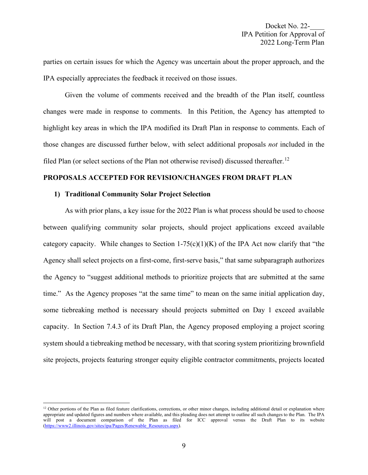parties on certain issues for which the Agency was uncertain about the proper approach, and the IPA especially appreciates the feedback it received on those issues.

Given the volume of comments received and the breadth of the Plan itself, countless changes were made in response to comments. In this Petition, the Agency has attempted to highlight key areas in which the IPA modified its Draft Plan in response to comments. Each of those changes are discussed further below, with select additional proposals *not* included in the filed Plan (or select sections of the Plan not otherwise revised) discussed thereafter.<sup>[12](#page-8-0)</sup>

## **PROPOSALS ACCEPTED FOR REVISION/CHANGES FROM DRAFT PLAN**

#### **1) Traditional Community Solar Project Selection**

As with prior plans, a key issue for the 2022 Plan is what process should be used to choose between qualifying community solar projects, should project applications exceed available category capacity. While changes to Section  $1-75(c)(1)(K)$  of the IPA Act now clarify that "the Agency shall select projects on a first-come, first-serve basis," that same subparagraph authorizes the Agency to "suggest additional methods to prioritize projects that are submitted at the same time." As the Agency proposes "at the same time" to mean on the same initial application day, some tiebreaking method is necessary should projects submitted on Day 1 exceed available capacity. In Section 7.4.3 of its Draft Plan, the Agency proposed employing a project scoring system should a tiebreaking method be necessary, with that scoring system prioritizing brownfield site projects, projects featuring stronger equity eligible contractor commitments, projects located

<span id="page-8-0"></span><sup>&</sup>lt;sup>12</sup> Other portions of the Plan as filed feature clarifications, corrections, or other minor changes, including additional detail or explanation where appropriate and updated figures and numbers where available, and this pleading does not attempt to outline all such changes to the Plan. The IPA will post a document comparison of the Plan as filed for ICC approval versus the Draft Plan to its website [\(https://www2.illinois.gov/sites/ipa/Pages/Renewable\\_Resources.aspx\)](https://www2.illinois.gov/sites/ipa/Pages/Renewable_Resources.aspx).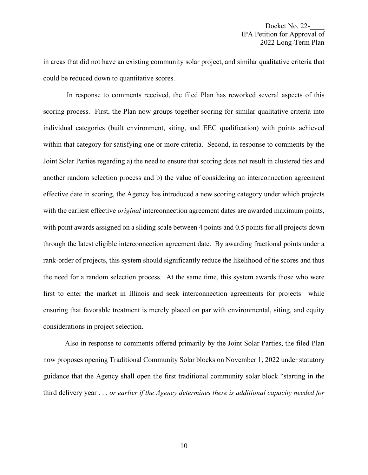in areas that did not have an existing community solar project, and similar qualitative criteria that could be reduced down to quantitative scores.

In response to comments received, the filed Plan has reworked several aspects of this scoring process. First, the Plan now groups together scoring for similar qualitative criteria into individual categories (built environment, siting, and EEC qualification) with points achieved within that category for satisfying one or more criteria. Second, in response to comments by the Joint Solar Parties regarding a) the need to ensure that scoring does not result in clustered ties and another random selection process and b) the value of considering an interconnection agreement effective date in scoring, the Agency has introduced a new scoring category under which projects with the earliest effective *original* interconnection agreement dates are awarded maximum points, with point awards assigned on a sliding scale between 4 points and 0.5 points for all projects down through the latest eligible interconnection agreement date. By awarding fractional points under a rank-order of projects, this system should significantly reduce the likelihood of tie scores and thus the need for a random selection process. At the same time, this system awards those who were first to enter the market in Illinois and seek interconnection agreements for projects—while ensuring that favorable treatment is merely placed on par with environmental, siting, and equity considerations in project selection.

Also in response to comments offered primarily by the Joint Solar Parties, the filed Plan now proposes opening Traditional Community Solar blocks on November 1, 2022 under statutory guidance that the Agency shall open the first traditional community solar block "starting in the third delivery year . . . *or earlier if the Agency determines there is additional capacity needed for*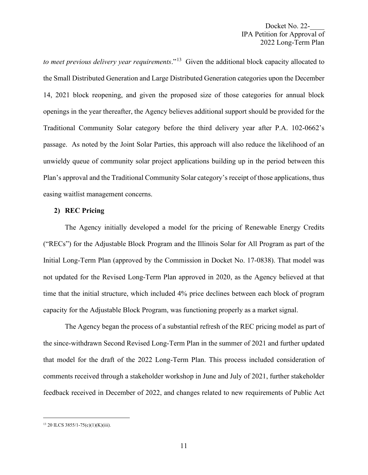*to meet previous delivery year requirements*."[13](#page-10-0) Given the additional block capacity allocated to the Small Distributed Generation and Large Distributed Generation categories upon the December 14, 2021 block reopening, and given the proposed size of those categories for annual block openings in the year thereafter, the Agency believes additional support should be provided for the Traditional Community Solar category before the third delivery year after P.A. 102-0662's passage. As noted by the Joint Solar Parties, this approach will also reduce the likelihood of an unwieldy queue of community solar project applications building up in the period between this Plan's approval and the Traditional Community Solar category's receipt of those applications, thus easing waitlist management concerns.

#### **2) REC Pricing**

The Agency initially developed a model for the pricing of Renewable Energy Credits ("RECs") for the Adjustable Block Program and the Illinois Solar for All Program as part of the Initial Long-Term Plan (approved by the Commission in Docket No. 17-0838). That model was not updated for the Revised Long-Term Plan approved in 2020, as the Agency believed at that time that the initial structure, which included 4% price declines between each block of program capacity for the Adjustable Block Program, was functioning properly as a market signal.

The Agency began the process of a substantial refresh of the REC pricing model as part of the since-withdrawn Second Revised Long-Term Plan in the summer of 2021 and further updated that model for the draft of the 2022 Long-Term Plan. This process included consideration of comments received through a stakeholder workshop in June and July of 2021, further stakeholder feedback received in December of 2022, and changes related to new requirements of Public Act

<span id="page-10-0"></span><sup>13</sup> 20 ILCS 3855/1-75(c)(1)(K)(iii).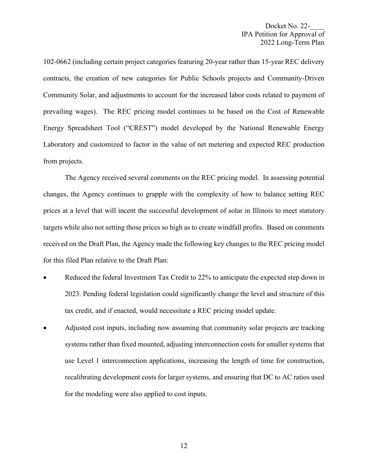102-0662 (including certain project categories featuring 20-year rather than 15-year REC delivery contracts, the creation of new categories for Public Schools projects and Community-Driven Community Solar, and adjustments to account for the increased labor costs related to payment of prevailing wages). The REC pricing model continues to be based on the Cost of Renewable Energy Spreadsheet Tool ("CREST") model developed by the National Renewable Energy Laboratory and customized to factor in the value of net metering and expected REC production from projects.

The Agency received several comments on the REC pricing model. In assessing potential changes, the Agency continues to grapple with the complexity of how to balance setting REC prices at a level that will incent the successful development of solar in Illinois to meet statutory targets while also not setting those prices so high as to create windfall profits. Based on comments received on the Draft Plan, the Agency made the following key changes to the REC pricing model for this filed Plan relative to the Draft Plan:

- Reduced the federal Investment Tax Credit to 22% to anticipate the expected step down in 2023. Pending federal legislation could significantly change the level and structure of this tax credit, and if enacted, would necessitate a REC pricing model update.
- Adjusted cost inputs, including now assuming that community solar projects are tracking systems rather than fixed mounted, adjusting interconnection costs for smaller systems that use Level 1 interconnection applications, increasing the length of time for construction, recalibrating development costs for larger systems, and ensuring that DC to AC ratios used for the modeling were also applied to cost inputs.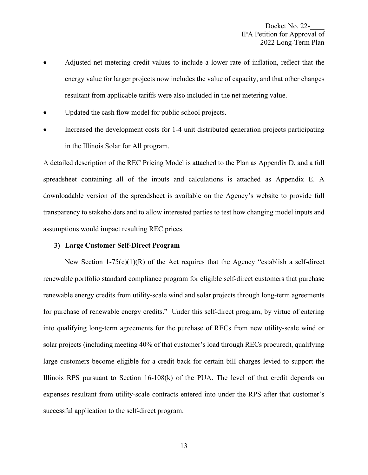- Adjusted net metering credit values to include a lower rate of inflation, reflect that the energy value for larger projects now includes the value of capacity, and that other changes resultant from applicable tariffs were also included in the net metering value.
- Updated the cash flow model for public school projects.
- Increased the development costs for 1-4 unit distributed generation projects participating in the Illinois Solar for All program.

A detailed description of the REC Pricing Model is attached to the Plan as Appendix D, and a full spreadsheet containing all of the inputs and calculations is attached as Appendix E. A downloadable version of the spreadsheet is available on the Agency's website to provide full transparency to stakeholders and to allow interested parties to test how changing model inputs and assumptions would impact resulting REC prices.

#### **3) Large Customer Self-Direct Program**

New Section  $1-75(c)(1)(R)$  of the Act requires that the Agency "establish a self-direct renewable portfolio standard compliance program for eligible self-direct customers that purchase renewable energy credits from utility-scale wind and solar projects through long-term agreements for purchase of renewable energy credits." Under this self-direct program, by virtue of entering into qualifying long-term agreements for the purchase of RECs from new utility-scale wind or solar projects (including meeting 40% of that customer's load through RECs procured), qualifying large customers become eligible for a credit back for certain bill charges levied to support the Illinois RPS pursuant to Section  $16-108(k)$  of the PUA. The level of that credit depends on expenses resultant from utility-scale contracts entered into under the RPS after that customer's successful application to the self-direct program.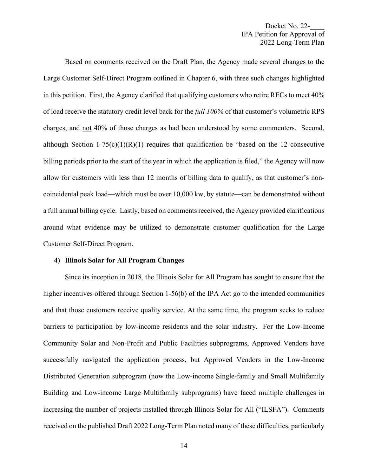Based on comments received on the Draft Plan, the Agency made several changes to the Large Customer Self-Direct Program outlined in Chapter 6, with three such changes highlighted in this petition. First, the Agency clarified that qualifying customers who retire RECs to meet 40% of load receive the statutory credit level back for the *full 100%* of that customer's volumetric RPS charges, and not 40% of those charges as had been understood by some commenters. Second, although Section 1-75(c)(1)(R)(1) requires that qualification be "based on the 12 consecutive billing periods prior to the start of the year in which the application is filed," the Agency will now allow for customers with less than 12 months of billing data to qualify, as that customer's noncoincidental peak load—which must be over 10,000 kw, by statute—can be demonstrated without a full annual billing cycle. Lastly, based on comments received, the Agency provided clarifications around what evidence may be utilized to demonstrate customer qualification for the Large Customer Self-Direct Program.

#### **4) Illinois Solar for All Program Changes**

Since its inception in 2018, the Illinois Solar for All Program has sought to ensure that the higher incentives offered through Section 1-56(b) of the IPA Act go to the intended communities and that those customers receive quality service. At the same time, the program seeks to reduce barriers to participation by low-income residents and the solar industry. For the Low-Income Community Solar and Non-Profit and Public Facilities subprograms, Approved Vendors have successfully navigated the application process, but Approved Vendors in the Low-Income Distributed Generation subprogram (now the Low-income Single-family and Small Multifamily Building and Low-income Large Multifamily subprograms) have faced multiple challenges in increasing the number of projects installed through Illinois Solar for All ("ILSFA"). Comments received on the published Draft 2022 Long-Term Plan noted many of these difficulties, particularly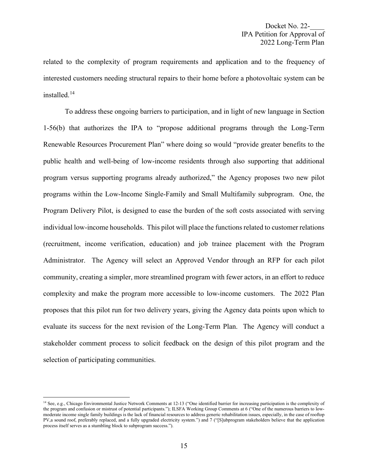related to the complexity of program requirements and application and to the frequency of interested customers needing structural repairs to their home before a photovoltaic system can be installed.[14](#page-14-0)

To address these ongoing barriers to participation, and in light of new language in Section 1-56(b) that authorizes the IPA to "propose additional programs through the Long-Term Renewable Resources Procurement Plan" where doing so would "provide greater benefits to the public health and well-being of low-income residents through also supporting that additional program versus supporting programs already authorized," the Agency proposes two new pilot programs within the Low-Income Single-Family and Small Multifamily subprogram. One, the Program Delivery Pilot, is designed to ease the burden of the soft costs associated with serving individual low-income households. This pilot will place the functions related to customer relations (recruitment, income verification, education) and job trainee placement with the Program Administrator. The Agency will select an Approved Vendor through an RFP for each pilot community, creating a simpler, more streamlined program with fewer actors, in an effort to reduce complexity and make the program more accessible to low-income customers. The 2022 Plan proposes that this pilot run for two delivery years, giving the Agency data points upon which to evaluate its success for the next revision of the Long-Term Plan. The Agency will conduct a stakeholder comment process to solicit feedback on the design of this pilot program and the selection of participating communities.

<span id="page-14-0"></span><sup>&</sup>lt;sup>14</sup> See, e.g., Chicago Environmental Justice Network Comments at 12-13 ("One identified barrier for increasing participation is the complexity of the program and confusion or mistrust of potential participants."); ILSFA Working Group Comments at 6 ("One of the numerous barriers to lowmoderate income single family buildings is the lack of financial resources to address generic rehabilitation issues, especially, in the case of rooftop PV,a sound roof, preferably replaced, and a fully upgraded electricity system.") and 7 ("[S]ubprogram stakeholders believe that the application process itself serves as a stumbling block to subprogram success.").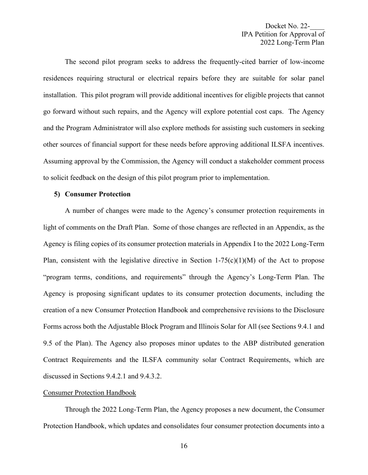The second pilot program seeks to address the frequently-cited barrier of low-income residences requiring structural or electrical repairs before they are suitable for solar panel installation. This pilot program will provide additional incentives for eligible projects that cannot go forward without such repairs, and the Agency will explore potential cost caps. The Agency and the Program Administrator will also explore methods for assisting such customers in seeking other sources of financial support for these needs before approving additional ILSFA incentives. Assuming approval by the Commission, the Agency will conduct a stakeholder comment process to solicit feedback on the design of this pilot program prior to implementation.

#### **5) Consumer Protection**

A number of changes were made to the Agency's consumer protection requirements in light of comments on the Draft Plan. Some of those changes are reflected in an Appendix, as the Agency is filing copies of its consumer protection materials in Appendix I to the 2022 Long-Term Plan, consistent with the legislative directive in Section  $1-75(c)(1)(M)$  of the Act to propose "program terms, conditions, and requirements" through the Agency's Long-Term Plan. The Agency is proposing significant updates to its consumer protection documents, including the creation of a new Consumer Protection Handbook and comprehensive revisions to the Disclosure Forms across both the Adjustable Block Program and Illinois Solar for All (see Sections 9.4.1 and 9.5 of the Plan). The Agency also proposes minor updates to the ABP distributed generation Contract Requirements and the ILSFA community solar Contract Requirements, which are discussed in Sections 9.4.2.1 and 9.4.3.2.

## Consumer Protection Handbook

Through the 2022 Long-Term Plan, the Agency proposes a new document, the Consumer Protection Handbook, which updates and consolidates four consumer protection documents into a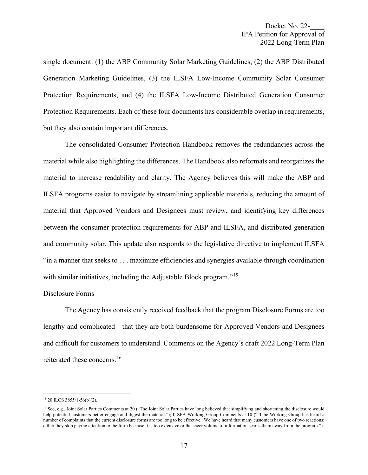single document: (1) the ABP Community Solar Marketing Guidelines, (2) the ABP Distributed Generation Marketing Guidelines, (3) the ILSFA Low-Income Community Solar Consumer Protection Requirements, and (4) the ILSFA Low-Income Distributed Generation Consumer Protection Requirements. Each of these four documents has considerable overlap in requirements, but they also contain important differences.

The consolidated Consumer Protection Handbook removes the redundancies across the material while also highlighting the differences. The Handbook also reformats and reorganizes the material to increase readability and clarity. The Agency believes this will make the ABP and ILSFA programs easier to navigate by streamlining applicable materials, reducing the amount of material that Approved Vendors and Designees must review, and identifying key differences between the consumer protection requirements for ABP and ILSFA, and distributed generation and community solar. This update also responds to the legislative directive to implement ILSFA "in a manner that seeks to . . . maximize efficiencies and synergies available through coordination with similar initiatives, including the Adjustable Block program."<sup>[15](#page-16-0)</sup>

## Disclosure Forms

The Agency has consistently received feedback that the program Disclosure Forms are too lengthy and complicated—that they are both burdensome for Approved Vendors and Designees and difficult for customers to understand. Comments on the Agency's draft 2022 Long-Term Plan reiterated these concerns.[16](#page-16-1)

<span id="page-16-0"></span><sup>15</sup> 20 ILCS 3855/1-56(b)(2).

<span id="page-16-1"></span><sup>&</sup>lt;sup>16</sup> See, e.g., Joint Solar Parties Comments at 20 ("The Joint Solar Parties have long believed that simplifying and shortening the disclosure would help potential customers better engage and digest the material."); ILSFA Working Group Comments at 10 ("[T]he Working Group has heard a number of complaints that the current disclosure forms are too long to be effective. We have heard that many customers have one of two reactions: either they stop paying attention to the form because it is too extensive or the sheer volume of information scares them away from the program.").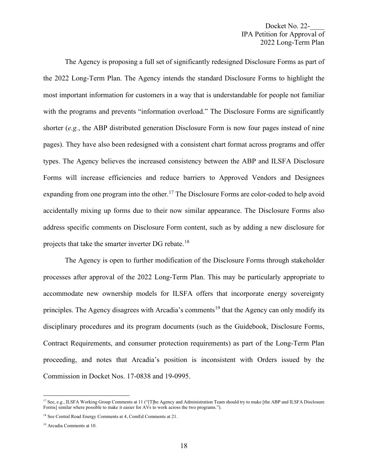The Agency is proposing a full set of significantly redesigned Disclosure Forms as part of the 2022 Long-Term Plan. The Agency intends the standard Disclosure Forms to highlight the most important information for customers in a way that is understandable for people not familiar with the programs and prevents "information overload." The Disclosure Forms are significantly shorter (*e.g.*, the ABP distributed generation Disclosure Form is now four pages instead of nine pages). They have also been redesigned with a consistent chart format across programs and offer types. The Agency believes the increased consistency between the ABP and ILSFA Disclosure Forms will increase efficiencies and reduce barriers to Approved Vendors and Designees expanding from one program into the other.<sup>[17](#page-17-0)</sup> The Disclosure Forms are color-coded to help avoid accidentally mixing up forms due to their now similar appearance. The Disclosure Forms also address specific comments on Disclosure Form content, such as by adding a new disclosure for projects that take the smarter inverter DG rebate.<sup>[18](#page-17-1)</sup>

The Agency is open to further modification of the Disclosure Forms through stakeholder processes after approval of the 2022 Long-Term Plan. This may be particularly appropriate to accommodate new ownership models for ILSFA offers that incorporate energy sovereignty principles. The Agency disagrees with Arcadia's comments<sup>[19](#page-17-2)</sup> that the Agency can only modify its disciplinary procedures and its program documents (such as the Guidebook, Disclosure Forms, Contract Requirements, and consumer protection requirements) as part of the Long-Term Plan proceeding, and notes that Arcadia's position is inconsistent with Orders issued by the Commission in Docket Nos. 17-0838 and 19-0995.

<span id="page-17-0"></span><sup>&</sup>lt;sup>17</sup> See, e.g., ILSFA Working Group Comments at 11 ("[T]he Agency and Administration Team should try to make [the ABP and ILSFA Disclosure Forms] similar where possible to make it easier for AVs to work across the two programs.").

<span id="page-17-1"></span><sup>18</sup> See Central Road Energy Comments at 4, ComEd Comments at 21.

<span id="page-17-2"></span><sup>19</sup> Arcadia Comments at 10.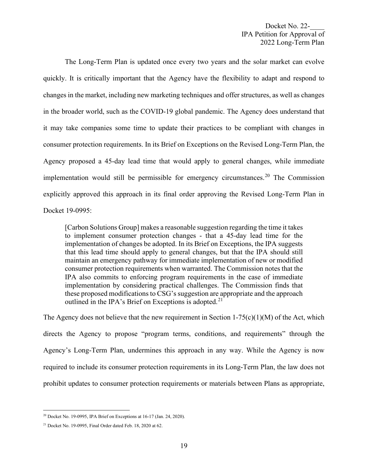The Long-Term Plan is updated once every two years and the solar market can evolve quickly. It is critically important that the Agency have the flexibility to adapt and respond to changes in the market, including new marketing techniques and offer structures, as well as changes in the broader world, such as the COVID-19 global pandemic. The Agency does understand that it may take companies some time to update their practices to be compliant with changes in consumer protection requirements. In its Brief on Exceptions on the Revised Long-Term Plan, the Agency proposed a 45-day lead time that would apply to general changes, while immediate implementation would still be permissible for emergency circumstances.<sup>[20](#page-18-0)</sup> The Commission explicitly approved this approach in its final order approving the Revised Long-Term Plan in Docket 19-0995:

[Carbon Solutions Group] makes a reasonable suggestion regarding the time it takes to implement consumer protection changes - that a 45-day lead time for the implementation of changes be adopted. In its Brief on Exceptions, the IPA suggests that this lead time should apply to general changes, but that the IPA should still maintain an emergency pathway for immediate implementation of new or modified consumer protection requirements when warranted. The Commission notes that the IPA also commits to enforcing program requirements in the case of immediate implementation by considering practical challenges. The Commission finds that these proposed modifications to CSG's suggestion are appropriate and the approach outlined in the IPA's Brief on Exceptions is adopted.<sup>[21](#page-18-1)</sup>

The Agency does not believe that the new requirement in Section  $1-75(c)(1)(M)$  of the Act, which directs the Agency to propose "program terms, conditions, and requirements" through the Agency's Long-Term Plan, undermines this approach in any way. While the Agency is now required to include its consumer protection requirements in its Long-Term Plan, the law does not prohibit updates to consumer protection requirements or materials between Plans as appropriate,

<span id="page-18-0"></span><sup>20</sup> Docket No. 19-0995, IPA Brief on Exceptions at 16-17 (Jan. 24, 2020).

<span id="page-18-1"></span> $21$  Docket No. 19-0995, Final Order dated Feb. 18, 2020 at 62.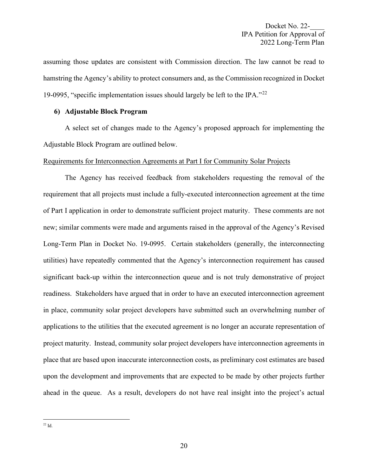assuming those updates are consistent with Commission direction. The law cannot be read to hamstring the Agency's ability to protect consumers and, as the Commission recognized in Docket 19-0995, "specific implementation issues should largely be left to the IPA." $^{22}$  $^{22}$  $^{22}$ 

## **6) Adjustable Block Program**

A select set of changes made to the Agency's proposed approach for implementing the Adjustable Block Program are outlined below.

## Requirements for Interconnection Agreements at Part I for Community Solar Projects

<span id="page-19-0"></span>The Agency has received feedback from stakeholders requesting the removal of the requirement that all projects must include a fully-executed interconnection agreement at the time of Part I application in order to demonstrate sufficient project maturity. These comments are not new; similar comments were made and arguments raised in the approval of the Agency's Revised Long-Term Plan in Docket No. 19-0995. Certain stakeholders (generally, the interconnecting utilities) have repeatedly commented that the Agency's interconnection requirement has caused significant back-up within the interconnection queue and is not truly demonstrative of project readiness. Stakeholders have argued that in order to have an executed interconnection agreement in place, community solar project developers have submitted such an overwhelming number of applications to the utilities that the executed agreement is no longer an accurate representation of project maturity. Instead, community solar project developers have interconnection agreements in place that are based upon inaccurate interconnection costs, as preliminary cost estimates are based upon the development and improvements that are expected to be made by other projects further ahead in the queue. As a result, developers do not have real insight into the project's actual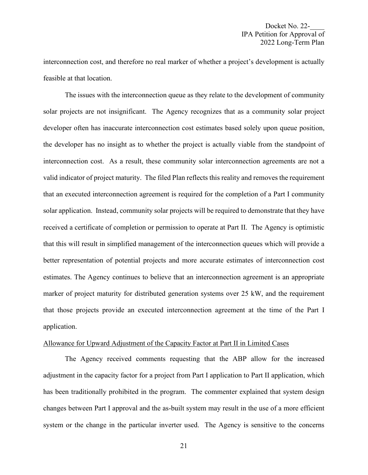interconnection cost, and therefore no real marker of whether a project's development is actually feasible at that location.

The issues with the interconnection queue as they relate to the development of community solar projects are not insignificant. The Agency recognizes that as a community solar project developer often has inaccurate interconnection cost estimates based solely upon queue position, the developer has no insight as to whether the project is actually viable from the standpoint of interconnection cost. As a result, these community solar interconnection agreements are not a valid indicator of project maturity. The filed Plan reflects this reality and removes the requirement that an executed interconnection agreement is required for the completion of a Part I community solar application. Instead, community solar projects will be required to demonstrate that they have received a certificate of completion or permission to operate at Part II. The Agency is optimistic that this will result in simplified management of the interconnection queues which will provide a better representation of potential projects and more accurate estimates of interconnection cost estimates. The Agency continues to believe that an interconnection agreement is an appropriate marker of project maturity for distributed generation systems over 25 kW, and the requirement that those projects provide an executed interconnection agreement at the time of the Part I application.

# Allowance for Upward Adjustment of the Capacity Factor at Part II in Limited Cases

The Agency received comments requesting that the ABP allow for the increased adjustment in the capacity factor for a project from Part I application to Part II application, which has been traditionally prohibited in the program. The commenter explained that system design changes between Part I approval and the as-built system may result in the use of a more efficient system or the change in the particular inverter used. The Agency is sensitive to the concerns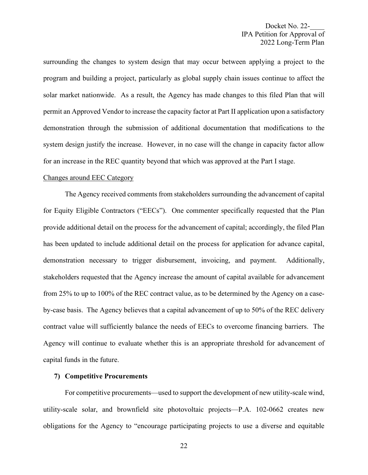surrounding the changes to system design that may occur between applying a project to the program and building a project, particularly as global supply chain issues continue to affect the solar market nationwide. As a result, the Agency has made changes to this filed Plan that will permit an Approved Vendor to increase the capacity factor at Part II application upon a satisfactory demonstration through the submission of additional documentation that modifications to the system design justify the increase. However, in no case will the change in capacity factor allow for an increase in the REC quantity beyond that which was approved at the Part I stage.

#### Changes around EEC Category

The Agency received comments from stakeholders surrounding the advancement of capital for Equity Eligible Contractors ("EECs"). One commenter specifically requested that the Plan provide additional detail on the process for the advancement of capital; accordingly, the filed Plan has been updated to include additional detail on the process for application for advance capital, demonstration necessary to trigger disbursement, invoicing, and payment. Additionally, stakeholders requested that the Agency increase the amount of capital available for advancement from 25% to up to 100% of the REC contract value, as to be determined by the Agency on a caseby-case basis. The Agency believes that a capital advancement of up to 50% of the REC delivery contract value will sufficiently balance the needs of EECs to overcome financing barriers. The Agency will continue to evaluate whether this is an appropriate threshold for advancement of capital funds in the future.

#### **7) Competitive Procurements**

For competitive procurements—used to support the development of new utility-scale wind, utility-scale solar, and brownfield site photovoltaic projects—P.A. 102-0662 creates new obligations for the Agency to "encourage participating projects to use a diverse and equitable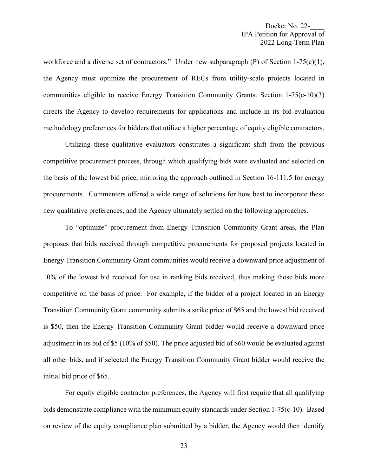workforce and a diverse set of contractors." Under new subparagraph (P) of Section 1-75(c)(1), the Agency must optimize the procurement of RECs from utility-scale projects located in communities eligible to receive Energy Transition Community Grants. Section 1-75(c-10)(3) directs the Agency to develop requirements for applications and include in its bid evaluation methodology preferences for bidders that utilize a higher percentage of equity eligible contractors.

Utilizing these qualitative evaluators constitutes a significant shift from the previous competitive procurement process, through which qualifying bids were evaluated and selected on the basis of the lowest bid price, mirroring the approach outlined in Section 16-111.5 for energy procurements. Commenters offered a wide range of solutions for how best to incorporate these new qualitative preferences, and the Agency ultimately settled on the following approaches.

To "optimize" procurement from Energy Transition Community Grant areas, the Plan proposes that bids received through competitive procurements for proposed projects located in Energy Transition Community Grant communities would receive a downward price adjustment of 10% of the lowest bid received for use in ranking bids received, thus making those bids more competitive on the basis of price. For example, if the bidder of a project located in an Energy Transition Community Grant community submits a strike price of \$65 and the lowest bid received is \$50, then the Energy Transition Community Grant bidder would receive a downward price adjustment in its bid of \$5 (10% of \$50). The price adjusted bid of \$60 would be evaluated against all other bids, and if selected the Energy Transition Community Grant bidder would receive the initial bid price of \$65.

For equity eligible contractor preferences, the Agency will first require that all qualifying bids demonstrate compliance with the minimum equity standards under Section 1-75(c-10). Based on review of the equity compliance plan submitted by a bidder, the Agency would then identify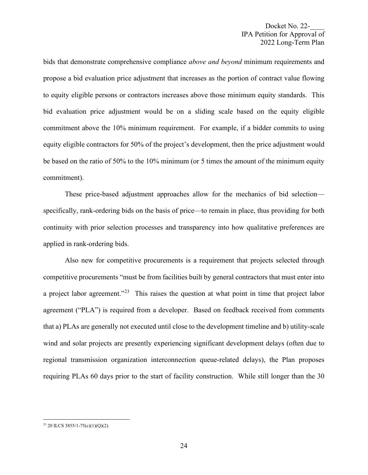bids that demonstrate comprehensive compliance *above and beyond* minimum requirements and propose a bid evaluation price adjustment that increases as the portion of contract value flowing to equity eligible persons or contractors increases above those minimum equity standards. This bid evaluation price adjustment would be on a sliding scale based on the equity eligible commitment above the 10% minimum requirement. For example, if a bidder commits to using equity eligible contractors for 50% of the project's development, then the price adjustment would be based on the ratio of 50% to the 10% minimum (or 5 times the amount of the minimum equity commitment).

These price-based adjustment approaches allow for the mechanics of bid selection specifically, rank-ordering bids on the basis of price—to remain in place, thus providing for both continuity with prior selection processes and transparency into how qualitative preferences are applied in rank-ordering bids.

Also new for competitive procurements is a requirement that projects selected through competitive procurements "must be from facilities built by general contractors that must enter into a project labor agreement."<sup>23</sup> This raises the question at what point in time that project labor agreement ("PLA") is required from a developer. Based on feedback received from comments that a) PLAs are generally not executed until close to the development timeline and b) utility-scale wind and solar projects are presently experiencing significant development delays (often due to regional transmission organization interconnection queue-related delays), the Plan proposes requiring PLAs 60 days prior to the start of facility construction. While still longer than the 30

<span id="page-23-0"></span><sup>23</sup> 20 ILCS 3855/1-75(c)(1)(Q)(2).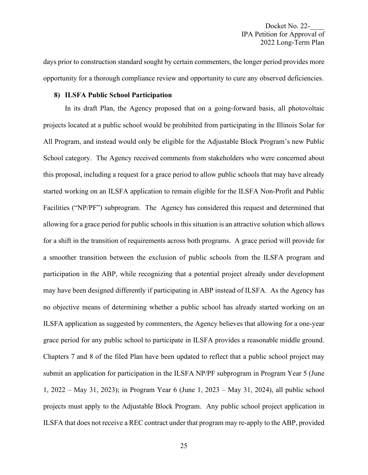days prior to construction standard sought by certain commenters, the longer period provides more opportunity for a thorough compliance review and opportunity to cure any observed deficiencies.

#### **8) ILSFA Public School Participation**

In its draft Plan, the Agency proposed that on a going-forward basis, all photovoltaic projects located at a public school would be prohibited from participating in the Illinois Solar for All Program, and instead would only be eligible for the Adjustable Block Program's new Public School category. The Agency received comments from stakeholders who were concerned about this proposal, including a request for a grace period to allow public schools that may have already started working on an ILSFA application to remain eligible for the ILSFA Non-Profit and Public Facilities ("NP/PF") subprogram. The Agency has considered this request and determined that allowing for a grace period for public schools in this situation is an attractive solution which allows for a shift in the transition of requirements across both programs. A grace period will provide for a smoother transition between the exclusion of public schools from the ILSFA program and participation in the ABP, while recognizing that a potential project already under development may have been designed differently if participating in ABP instead of ILSFA. As the Agency has no objective means of determining whether a public school has already started working on an ILSFA application as suggested by commenters, the Agency believes that allowing for a one-year grace period for any public school to participate in ILSFA provides a reasonable middle ground. Chapters 7 and 8 of the filed Plan have been updated to reflect that a public school project may submit an application for participation in the ILSFA NP/PF subprogram in Program Year 5 (June 1, 2022 – May 31, 2023); in Program Year 6 (June 1, 2023 – May 31, 2024), all public school projects must apply to the Adjustable Block Program. Any public school project application in ILSFA that does not receive a REC contract under that program may re-apply to the ABP, provided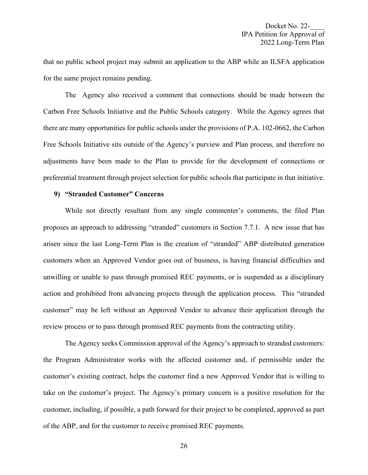that no public school project may submit an application to the ABP while an ILSFA application for the same project remains pending.

The Agency also received a comment that connections should be made between the Carbon Free Schools Initiative and the Public Schools category. While the Agency agrees that there are many opportunities for public schools under the provisions of P.A. 102-0662, the Carbon Free Schools Initiative sits outside of the Agency's purview and Plan process, and therefore no adjustments have been made to the Plan to provide for the development of connections or preferential treatment through project selection for public schools that participate in that initiative.

#### **9) "Stranded Customer" Concerns**

While not directly resultant from any single commenter's comments, the filed Plan proposes an approach to addressing "stranded" customers in Section 7.7.1. A new issue that has arisen since the last Long-Term Plan is the creation of "stranded" ABP distributed generation customers when an Approved Vendor goes out of business, is having financial difficulties and unwilling or unable to pass through promised REC payments, or is suspended as a disciplinary action and prohibited from advancing projects through the application process. This "stranded customer" may be left without an Approved Vendor to advance their application through the review process or to pass through promised REC payments from the contracting utility.

The Agency seeks Commission approval of the Agency's approach to stranded customers: the Program Administrator works with the affected customer and, if permissible under the customer's existing contract, helps the customer find a new Approved Vendor that is willing to take on the customer's project. The Agency's primary concern is a positive resolution for the customer, including, if possible, a path forward for their project to be completed, approved as part of the ABP, and for the customer to receive promised REC payments.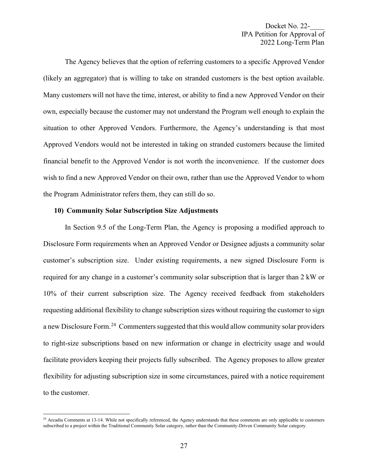The Agency believes that the option of referring customers to a specific Approved Vendor (likely an aggregator) that is willing to take on stranded customers is the best option available. Many customers will not have the time, interest, or ability to find a new Approved Vendor on their own, especially because the customer may not understand the Program well enough to explain the situation to other Approved Vendors. Furthermore, the Agency's understanding is that most Approved Vendors would not be interested in taking on stranded customers because the limited financial benefit to the Approved Vendor is not worth the inconvenience. If the customer does wish to find a new Approved Vendor on their own, rather than use the Approved Vendor to whom the Program Administrator refers them, they can still do so.

# **10) Community Solar Subscription Size Adjustments**

In Section 9.5 of the Long-Term Plan, the Agency is proposing a modified approach to Disclosure Form requirements when an Approved Vendor or Designee adjusts a community solar customer's subscription size. Under existing requirements, a new signed Disclosure Form is required for any change in a customer's community solar subscription that is larger than 2 kW or 10% of their current subscription size. The Agency received feedback from stakeholders requesting additional flexibility to change subscription sizes without requiring the customer to sign a new Disclosure Form.<sup>[24](#page-26-0)</sup> Commenters suggested that this would allow community solar providers to right-size subscriptions based on new information or change in electricity usage and would facilitate providers keeping their projects fully subscribed. The Agency proposes to allow greater flexibility for adjusting subscription size in some circumstances, paired with a notice requirement to the customer.

<span id="page-26-0"></span><sup>&</sup>lt;sup>24</sup> Arcadia Comments at 13-14. While not specifically referenced, the Agency understands that these comments are only applicable to customers subscribed to a project within the Traditional Community Solar category, rather than the Community-Driven Community Solar category.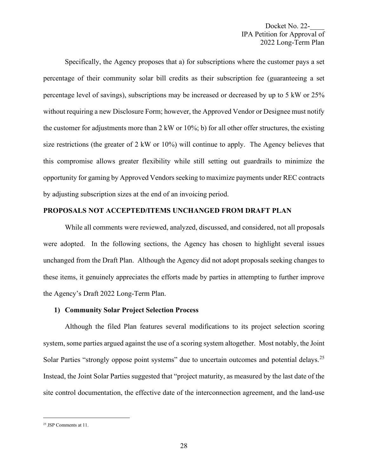Specifically, the Agency proposes that a) for subscriptions where the customer pays a set percentage of their community solar bill credits as their subscription fee (guaranteeing a set percentage level of savings), subscriptions may be increased or decreased by up to 5 kW or 25% without requiring a new Disclosure Form; however, the Approved Vendor or Designee must notify the customer for adjustments more than 2 kW or 10%; b) for all other offer structures, the existing size restrictions (the greater of  $2 \text{ kW}$  or  $10\%$ ) will continue to apply. The Agency believes that this compromise allows greater flexibility while still setting out guardrails to minimize the opportunity for gaming by Approved Vendors seeking to maximize payments under REC contracts by adjusting subscription sizes at the end of an invoicing period.

## **PROPOSALS NOT ACCEPTED/ITEMS UNCHANGED FROM DRAFT PLAN**

While all comments were reviewed, analyzed, discussed, and considered, not all proposals were adopted. In the following sections, the Agency has chosen to highlight several issues unchanged from the Draft Plan. Although the Agency did not adopt proposals seeking changes to these items, it genuinely appreciates the efforts made by parties in attempting to further improve the Agency's Draft 2022 Long-Term Plan.

# **1) Community Solar Project Selection Process**

Although the filed Plan features several modifications to its project selection scoring system, some parties argued against the use of a scoring system altogether. Most notably, the Joint Solar Parties "strongly oppose point systems" due to uncertain outcomes and potential delays.<sup>[25](#page-27-0)</sup> Instead, the Joint Solar Parties suggested that "project maturity, as measured by the last date of the site control documentation, the effective date of the interconnection agreement, and the land-use

<span id="page-27-0"></span><sup>25</sup> JSP Comments at 11.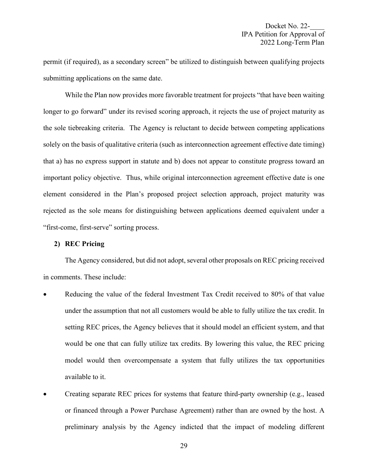permit (if required), as a secondary screen" be utilized to distinguish between qualifying projects submitting applications on the same date.

While the Plan now provides more favorable treatment for projects "that have been waiting longer to go forward" under its revised scoring approach, it rejects the use of project maturity as the sole tiebreaking criteria. The Agency is reluctant to decide between competing applications solely on the basis of qualitative criteria (such as interconnection agreement effective date timing) that a) has no express support in statute and b) does not appear to constitute progress toward an important policy objective. Thus, while original interconnection agreement effective date is one element considered in the Plan's proposed project selection approach, project maturity was rejected as the sole means for distinguishing between applications deemed equivalent under a "first-come, first-serve" sorting process.

## **2) REC Pricing**

The Agency considered, but did not adopt, several other proposals on REC pricing received in comments. These include:

- Reducing the value of the federal Investment Tax Credit received to 80% of that value under the assumption that not all customers would be able to fully utilize the tax credit. In setting REC prices, the Agency believes that it should model an efficient system, and that would be one that can fully utilize tax credits. By lowering this value, the REC pricing model would then overcompensate a system that fully utilizes the tax opportunities available to it.
- Creating separate REC prices for systems that feature third-party ownership (e.g., leased or financed through a Power Purchase Agreement) rather than are owned by the host. A preliminary analysis by the Agency indicted that the impact of modeling different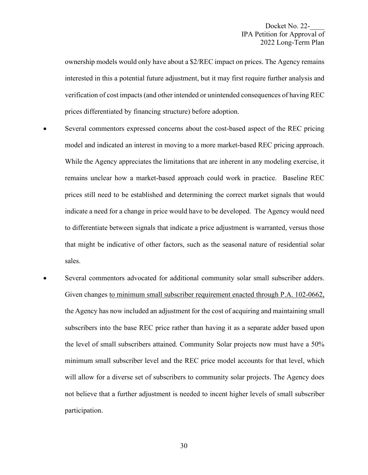ownership models would only have about a \$2/REC impact on prices. The Agency remains interested in this a potential future adjustment, but it may first require further analysis and verification of cost impacts (and other intended or unintended consequences of having REC prices differentiated by financing structure) before adoption.

- Several commentors expressed concerns about the cost-based aspect of the REC pricing model and indicated an interest in moving to a more market-based REC pricing approach. While the Agency appreciates the limitations that are inherent in any modeling exercise, it remains unclear how a market-based approach could work in practice. Baseline REC prices still need to be established and determining the correct market signals that would indicate a need for a change in price would have to be developed. The Agency would need to differentiate between signals that indicate a price adjustment is warranted, versus those that might be indicative of other factors, such as the seasonal nature of residential solar sales.
- Several commentors advocated for additional community solar small subscriber adders. Given changes to minimum small subscriber requirement enacted through P.A. 102-0662, the Agency has now included an adjustment for the cost of acquiring and maintaining small subscribers into the base REC price rather than having it as a separate adder based upon the level of small subscribers attained. Community Solar projects now must have a 50% minimum small subscriber level and the REC price model accounts for that level, which will allow for a diverse set of subscribers to community solar projects. The Agency does not believe that a further adjustment is needed to incent higher levels of small subscriber participation.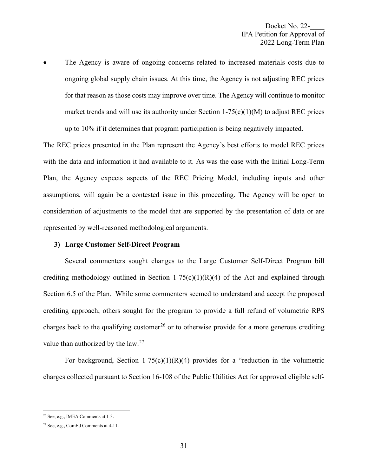The Agency is aware of ongoing concerns related to increased materials costs due to ongoing global supply chain issues. At this time, the Agency is not adjusting REC prices for that reason as those costs may improve over time. The Agency will continue to monitor market trends and will use its authority under Section  $1-75(c)(1)(M)$  to adjust REC prices up to 10% if it determines that program participation is being negatively impacted.

The REC prices presented in the Plan represent the Agency's best efforts to model REC prices with the data and information it had available to it. As was the case with the Initial Long-Term Plan, the Agency expects aspects of the REC Pricing Model, including inputs and other assumptions, will again be a contested issue in this proceeding. The Agency will be open to consideration of adjustments to the model that are supported by the presentation of data or are represented by well-reasoned methodological arguments.

## **3) Large Customer Self-Direct Program**

Several commenters sought changes to the Large Customer Self-Direct Program bill crediting methodology outlined in Section 1-75(c)(1)(R)(4) of the Act and explained through Section 6.5 of the Plan. While some commenters seemed to understand and accept the proposed crediting approach, others sought for the program to provide a full refund of volumetric RPS charges back to the qualifying customer<sup>[26](#page-30-0)</sup> or to otherwise provide for a more generous crediting value than authorized by the  $law.<sup>27</sup>$  $law.<sup>27</sup>$  $law.<sup>27</sup>$ 

For background, Section 1-75(c)(1)(R)(4) provides for a "reduction in the volumetric charges collected pursuant to Section 16-108 of the Public Utilities Act for approved eligible self-

<span id="page-30-0"></span><sup>26</sup> See, e.g., IMEA Comments at 1-3.

<span id="page-30-1"></span><sup>27</sup> See, e.g., ComEd Comments at 4-11.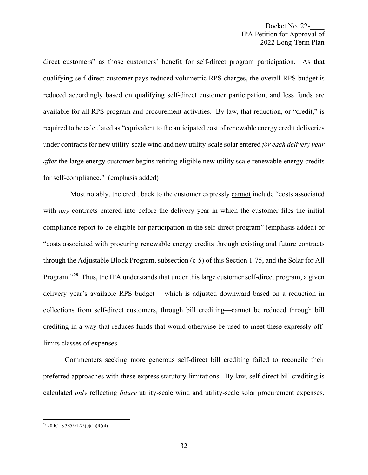direct customers" as those customers' benefit for self-direct program participation. As that qualifying self-direct customer pays reduced volumetric RPS charges, the overall RPS budget is reduced accordingly based on qualifying self-direct customer participation, and less funds are available for all RPS program and procurement activities. By law, that reduction, or "credit," is required to be calculated as "equivalent to the anticipated cost of renewable energy credit deliveries under contracts for new utility-scale wind and new utility-scale solar entered *for each delivery year after* the large energy customer begins retiring eligible new utility scale renewable energy credits for self-compliance." (emphasis added)

Most notably, the credit back to the customer expressly cannot include "costs associated with *any* contracts entered into before the delivery year in which the customer files the initial compliance report to be eligible for participation in the self-direct program" (emphasis added) or "costs associated with procuring renewable energy credits through existing and future contracts through the Adjustable Block Program, subsection (c-5) of this Section 1-75, and the Solar for All Program."<sup>[28](#page-31-0)</sup> Thus, the IPA understands that under this large customer self-direct program, a given delivery year's available RPS budget —which is adjusted downward based on a reduction in collections from self-direct customers, through bill crediting—cannot be reduced through bill crediting in a way that reduces funds that would otherwise be used to meet these expressly offlimits classes of expenses.

Commenters seeking more generous self-direct bill crediting failed to reconcile their preferred approaches with these express statutory limitations. By law, self-direct bill crediting is calculated *only* reflecting *future* utility-scale wind and utility-scale solar procurement expenses,

<span id="page-31-0"></span><sup>28</sup> 20 ICLS 3855/1-75(c)(1)(R)(4).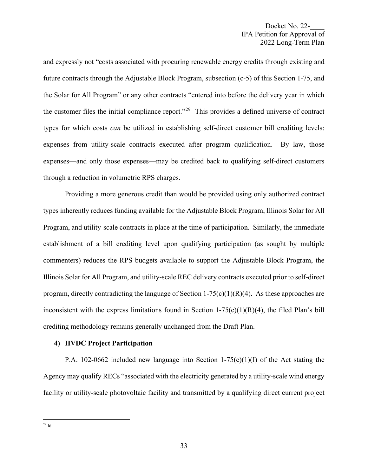and expressly not "costs associated with procuring renewable energy credits through existing and future contracts through the Adjustable Block Program, subsection (c-5) of this Section 1-75, and the Solar for All Program" or any other contracts "entered into before the delivery year in which the customer files the initial compliance report."[29](#page-32-0) This provides a defined universe of contract types for which costs *can* be utilized in establishing self-direct customer bill crediting levels: expenses from utility-scale contracts executed after program qualification. By law, those expenses—and only those expenses—may be credited back to qualifying self-direct customers through a reduction in volumetric RPS charges.

Providing a more generous credit than would be provided using only authorized contract types inherently reduces funding available for the Adjustable Block Program, Illinois Solar for All Program, and utility-scale contracts in place at the time of participation. Similarly, the immediate establishment of a bill crediting level upon qualifying participation (as sought by multiple commenters) reduces the RPS budgets available to support the Adjustable Block Program, the Illinois Solar for All Program, and utility-scale REC delivery contracts executed prior to self-direct program, directly contradicting the language of Section  $1-75(c)(1)(R)(4)$ . As these approaches are inconsistent with the express limitations found in Section  $1-75(c)(1)(R)(4)$ , the filed Plan's bill crediting methodology remains generally unchanged from the Draft Plan.

## **4) HVDC Project Participation**

<span id="page-32-0"></span>P.A. 102-0662 included new language into Section 1-75(c)(1)(I) of the Act stating the Agency may qualify RECs "associated with the electricity generated by a utility-scale wind energy facility or utility-scale photovoltaic facility and transmitted by a qualifying direct current project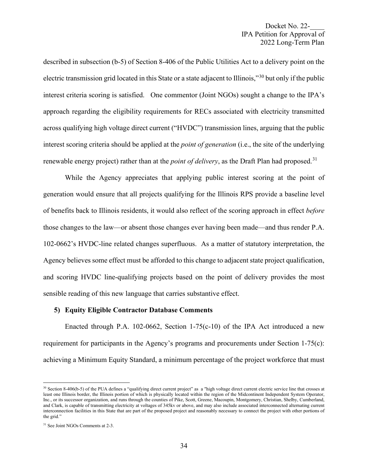described in subsection (b-5) of Section 8-406 of the Public Utilities Act to a delivery point on the electric transmission grid located in this State or a state adjacent to Illinois,"[30](#page-33-0) but only if the public interest criteria scoring is satisfied. One commentor (Joint NGOs) sought a change to the IPA's approach regarding the eligibility requirements for RECs associated with electricity transmitted across qualifying high voltage direct current ("HVDC") transmission lines, arguing that the public interest scoring criteria should be applied at the *point of generation* (i.e., the site of the underlying renewable energy project) rather than at the *point of delivery*, as the Draft Plan had proposed.<sup>[31](#page-33-1)</sup>

While the Agency appreciates that applying public interest scoring at the point of generation would ensure that all projects qualifying for the Illinois RPS provide a baseline level of benefits back to Illinois residents, it would also reflect of the scoring approach in effect *before* those changes to the law—or absent those changes ever having been made—and thus render P.A. 102-0662's HVDC-line related changes superfluous. As a matter of statutory interpretation, the Agency believes some effect must be afforded to this change to adjacent state project qualification, and scoring HVDC line-qualifying projects based on the point of delivery provides the most sensible reading of this new language that carries substantive effect.

#### **5) Equity Eligible Contractor Database Comments**

Enacted through P.A. 102-0662, Section 1-75(c-10) of the IPA Act introduced a new requirement for participants in the Agency's programs and procurements under Section 1-75(c): achieving a Minimum Equity Standard, a minimum percentage of the project workforce that must

<span id="page-33-0"></span> $30$  Section 8-406(b-5) of the PUA defines a "qualifying direct current project" as a "high voltage direct current electric service line that crosses at least one Illinois border, the Illinois portion of which is physically located within the region of the Midcontinent Independent System Operator, Inc., or its successor organization, and runs through the counties of Pike, Scott, Greene, Macoupin, Montgomery, Christian, Shelby, Cumberland, and Clark, is capable of transmitting electricity at voltages of 345kv or above, and may also include associated interconnected alternating current interconnection facilities in this State that are part of the proposed project and reasonably necessary to connect the project with other portions of the grid."

<span id="page-33-1"></span><sup>31</sup> See Joint NGOs Comments at 2-3.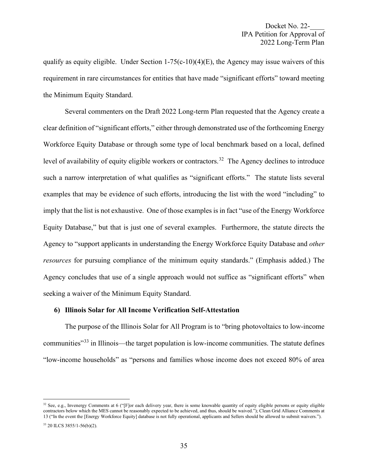qualify as equity eligible. Under Section  $1-75(c-10)(4)(E)$ , the Agency may issue waivers of this requirement in rare circumstances for entities that have made "significant efforts" toward meeting the Minimum Equity Standard.

Several commenters on the Draft 2022 Long-term Plan requested that the Agency create a clear definition of "significant efforts," either through demonstrated use of the forthcoming Energy Workforce Equity Database or through some type of local benchmark based on a local, defined level of availability of equity eligible workers or contractors.<sup>[32](#page-34-0)</sup> The Agency declines to introduce such a narrow interpretation of what qualifies as "significant efforts." The statute lists several examples that may be evidence of such efforts, introducing the list with the word "including" to imply that the list is not exhaustive. One of those examples is in fact "use of the Energy Workforce Equity Database," but that is just one of several examples. Furthermore, the statute directs the Agency to "support applicants in understanding the Energy Workforce Equity Database and *other resources* for pursuing compliance of the minimum equity standards." (Emphasis added.) The Agency concludes that use of a single approach would not suffice as "significant efforts" when seeking a waiver of the Minimum Equity Standard.

## **6) Illinois Solar for All Income Verification Self-Attestation**

The purpose of the Illinois Solar for All Program is to "bring photovoltaics to low-income communities<sup>"[33](#page-34-1)</sup> in Illinois—the target population is low-income communities. The statute defines "low-income households" as "persons and families whose income does not exceed 80% of area

<span id="page-34-0"></span> $32$  See, e.g., Invenergy Comments at 6 ("[F]or each delivery year, there is some knowable quantity of equity eligible persons or equity eligible contractors below which the MES cannot be reasonably expected to be achieved, and thus, should be waived."); Clean Grid Alliance Comments at 13 ("In the event the [Energy Workforce Equity] database is not fully operational, applicants and Sellers should be allowed to submit waivers.").

<span id="page-34-1"></span><sup>33</sup> 20 ILCS 3855/1-56(b)(2).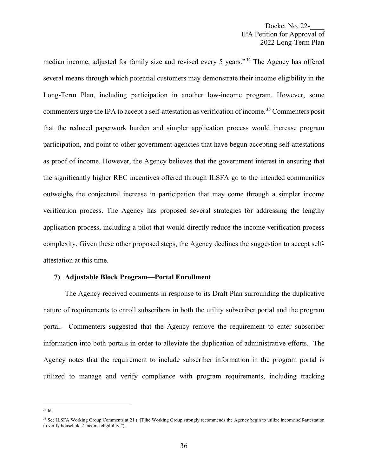median income, adjusted for family size and revised every 5 years."[34](#page-35-0) The Agency has offered several means through which potential customers may demonstrate their income eligibility in the Long-Term Plan, including participation in another low-income program. However, some commenters urge the IPA to accept a self-attestation as verification of income.<sup>[35](#page-35-1)</sup> Commenters posit that the reduced paperwork burden and simpler application process would increase program participation, and point to other government agencies that have begun accepting self-attestations as proof of income. However, the Agency believes that the government interest in ensuring that the significantly higher REC incentives offered through ILSFA go to the intended communities outweighs the conjectural increase in participation that may come through a simpler income verification process. The Agency has proposed several strategies for addressing the lengthy application process, including a pilot that would directly reduce the income verification process complexity. Given these other proposed steps, the Agency declines the suggestion to accept selfattestation at this time.

#### **7) Adjustable Block Program—Portal Enrollment**

The Agency received comments in response to its Draft Plan surrounding the duplicative nature of requirements to enroll subscribers in both the utility subscriber portal and the program portal. Commenters suggested that the Agency remove the requirement to enter subscriber information into both portals in order to alleviate the duplication of administrative efforts. The Agency notes that the requirement to include subscriber information in the program portal is utilized to manage and verify compliance with program requirements, including tracking

<span id="page-35-0"></span><sup>34</sup> Id.

<span id="page-35-1"></span><sup>&</sup>lt;sup>35</sup> See ILSFA Working Group Comments at 21 ("[T]he Working Group strongly recommends the Agency begin to utilize income self-attestation to verify households' income eligibility.").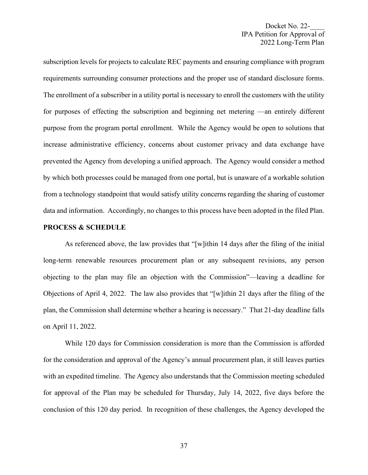subscription levels for projects to calculate REC payments and ensuring compliance with program requirements surrounding consumer protections and the proper use of standard disclosure forms. The enrollment of a subscriber in a utility portal is necessary to enroll the customers with the utility for purposes of effecting the subscription and beginning net metering —an entirely different purpose from the program portal enrollment. While the Agency would be open to solutions that increase administrative efficiency, concerns about customer privacy and data exchange have prevented the Agency from developing a unified approach. The Agency would consider a method by which both processes could be managed from one portal, but is unaware of a workable solution from a technology standpoint that would satisfy utility concerns regarding the sharing of customer data and information. Accordingly, no changes to this process have been adopted in the filed Plan.

## **PROCESS & SCHEDULE**

As referenced above, the law provides that "[w]ithin 14 days after the filing of the initial long-term renewable resources procurement plan or any subsequent revisions, any person objecting to the plan may file an objection with the Commission"—leaving a deadline for Objections of April 4, 2022. The law also provides that "[w]ithin 21 days after the filing of the plan, the Commission shall determine whether a hearing is necessary." That 21-day deadline falls on April 11, 2022.

While 120 days for Commission consideration is more than the Commission is afforded for the consideration and approval of the Agency's annual procurement plan, it still leaves parties with an expedited timeline. The Agency also understands that the Commission meeting scheduled for approval of the Plan may be scheduled for Thursday, July 14, 2022, five days before the conclusion of this 120 day period. In recognition of these challenges, the Agency developed the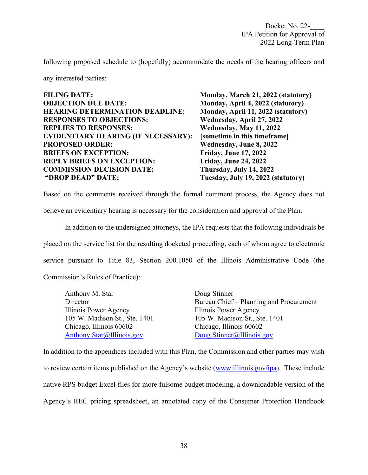following proposed schedule to (hopefully) accommodate the needs of the hearing officers and

any interested parties:

| <b>FILING DATE:</b>                        | Monday, March 21, 2022 (statutory) |
|--------------------------------------------|------------------------------------|
| <b>OBJECTION DUE DATE:</b>                 | Monday, April 4, 2022 (statutory)  |
| <b>HEARING DETERMINATION DEADLINE:</b>     | Monday, April 11, 2022 (statutory) |
| <b>RESPONSES TO OBJECTIONS:</b>            | Wednesday, April 27, 2022          |
| <b>REPLIES TO RESPONSES:</b>               | Wednesday, May 11, 2022            |
| <b>EVIDENTIARY HEARING (IF NECESSARY):</b> | [sometime in this timeframe]       |
| <b>PROPOSED ORDER:</b>                     | Wednesday, June 8, 2022            |
| <b>BRIEFS ON EXCEPTION:</b>                | <b>Friday, June 17, 2022</b>       |
| <b>REPLY BRIEFS ON EXCEPTION:</b>          | <b>Friday, June 24, 2022</b>       |
| <b>COMMISSION DECISION DATE:</b>           | Thursday, July 14, 2022            |
| "DROP DEAD" DATE:                          | Tuesday, July 19, 2022 (statutory) |

Based on the comments received through the formal comment process, the Agency does not

believe an evidentiary hearing is necessary for the consideration and approval of the Plan.

In addition to the undersigned attorneys, the IPA requests that the following individuals be placed on the service list for the resulting docketed proceeding, each of whom agree to electronic service pursuant to Title 83, Section 200.1050 of the Illinois Administrative Code (the Commission's Rules of Practice):

| Anthony M. Star               | Doug Stinner                            |
|-------------------------------|-----------------------------------------|
| Director                      | Bureau Chief – Planning and Procurement |
| Illinois Power Agency         | Illinois Power Agency                   |
| 105 W. Madison St., Ste. 1401 | 105 W. Madison St., Ste. 1401           |
| Chicago, Illinois 60602       | Chicago, Illinois 60602                 |
| Anthony.Star@Illinois.gov     | Doug.Stinner@Illinois.gov               |

In addition to the appendices included with this Plan, the Commission and other parties may wish to review certain items published on the Agency's website [\(www.illinois.gov/ipa\)](http://www.illinois.gov/ipa). These include native RPS budget Excel files for more fulsome budget modeling, a downloadable version of the Agency's REC pricing spreadsheet, an annotated copy of the Consumer Protection Handbook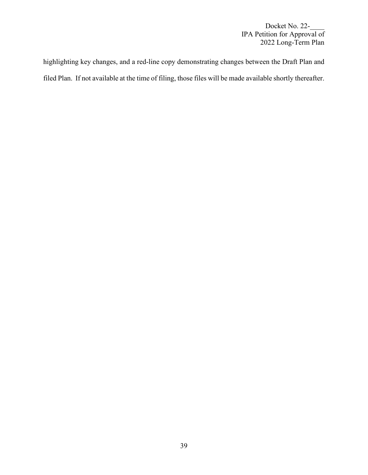highlighting key changes, and a red-line copy demonstrating changes between the Draft Plan and filed Plan. If not available at the time of filing, those files will be made available shortly thereafter.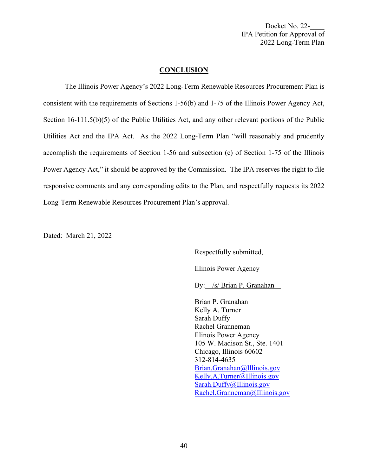#### **CONCLUSION**

The Illinois Power Agency's 2022 Long-Term Renewable Resources Procurement Plan is consistent with the requirements of Sections 1-56(b) and 1-75 of the Illinois Power Agency Act, Section 16-111.5(b)(5) of the Public Utilities Act, and any other relevant portions of the Public Utilities Act and the IPA Act. As the 2022 Long-Term Plan "will reasonably and prudently accomplish the requirements of Section 1-56 and subsection (c) of Section 1-75 of the Illinois Power Agency Act," it should be approved by the Commission. The IPA reserves the right to file responsive comments and any corresponding edits to the Plan, and respectfully requests its 2022 Long-Term Renewable Resources Procurement Plan's approval.

Dated: March 21, 2022

Respectfully submitted,

Illinois Power Agency

By: /s/ Brian P. Granahan

Brian P. Granahan Kelly A. Turner Sarah Duffy Rachel Granneman Illinois Power Agency 105 W. Madison St., Ste. 1401 Chicago, Illinois 60602 312-814-4635 [Brian.Granahan@Illinois.gov](mailto:Brian.Granahan@Illinois.gov) [Kelly.A.Turner@Illinois.gov](mailto:Kelly.A.Turner@Illinois.gov) [Sarah.Duffy@Illinois.gov](mailto:Sarah.Duffy@Illinois.gov) [Rachel.Granneman@Illinois.gov](mailto:Rachel.Granneman@Illinois.gov)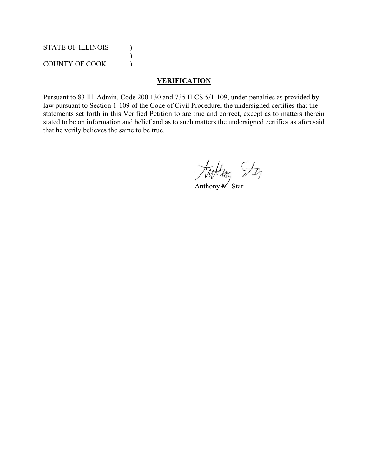# STATE OF ILLINOIS (1)

COUNTY OF COOK (

)

# **VERIFICATION**

Pursuant to 83 Ill. Admin. Code 200.130 and 735 ILCS 5/1-109, under penalties as provided by law pursuant to Section 1-109 of the Code of Civil Procedure, the undersigned certifies that the statements set forth in this Verified Petition to are true and correct, except as to matters therein stated to be on information and belief and as to such matters the undersigned certifies as aforesaid that he verily believes the same to be true.

tuttun, Stez

Anthony M. Star